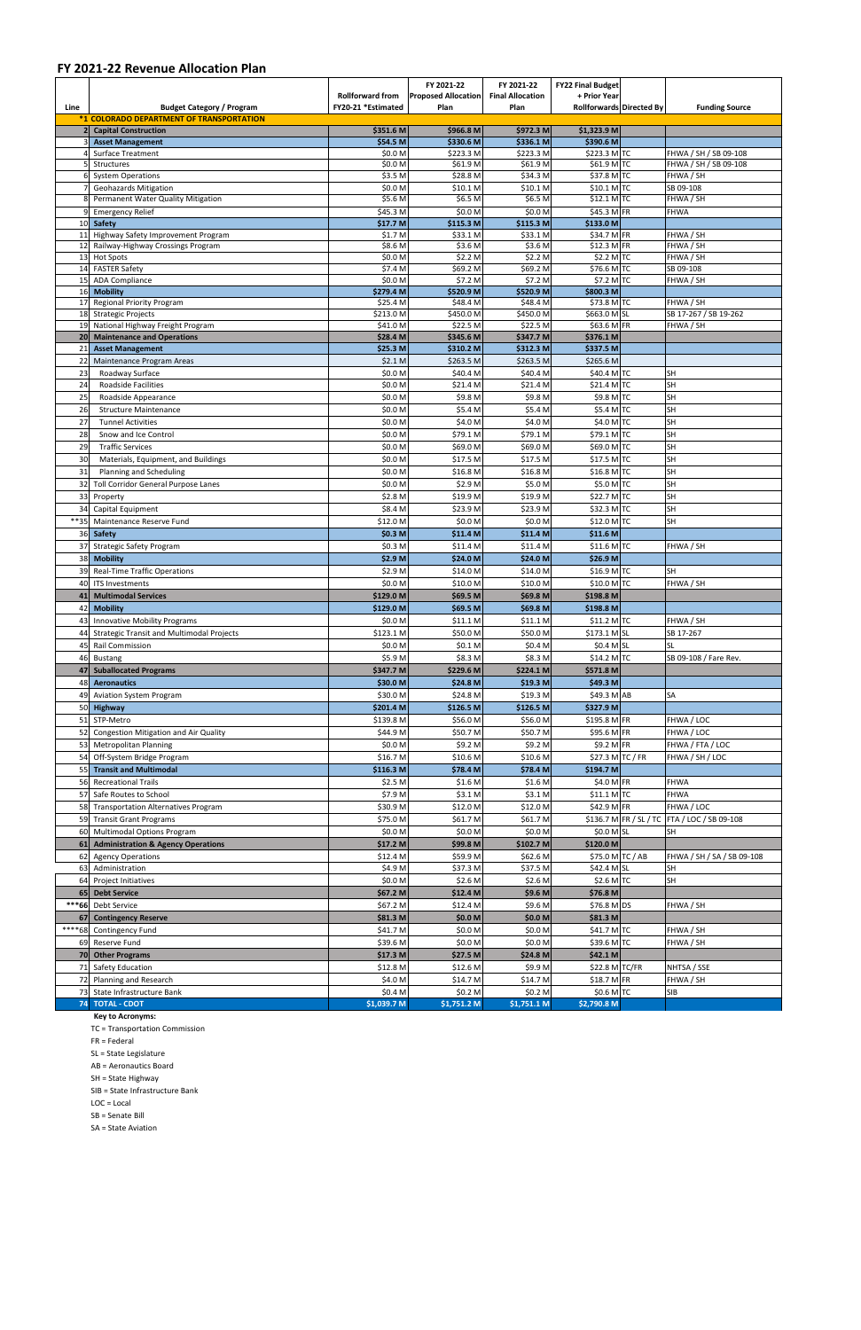## **FY 2021-22 Revenue Allocation Plan**

|              |                                                                         |                                               | FY 2021-22                         | FY 2021-22                      | <b>FY22 Final Budget</b>                 |                                                |
|--------------|-------------------------------------------------------------------------|-----------------------------------------------|------------------------------------|---------------------------------|------------------------------------------|------------------------------------------------|
| Line         | <b>Budget Category / Program</b>                                        | <b>Rollforward from</b><br>FY20-21 *Estimated | <b>Proposed Allocation</b><br>Plan | <b>Final Allocation</b><br>Plan | + Prior Year<br>Rollforwards Directed By | <b>Funding Source</b>                          |
|              | *1 COLORADO DEPARTMENT OF TRANSPORTATION                                |                                               |                                    |                                 |                                          |                                                |
|              | <b>Capital Construction</b>                                             | \$351.6 M                                     | \$966.8 M                          | \$972.3 M                       | \$1,323.9 M                              |                                                |
|              | <b>Asset Management</b>                                                 | \$54.5 M                                      | \$330.6 M                          | \$336.1 M                       | \$390.6 M                                |                                                |
|              | <b>Surface Treatment</b><br>Structures                                  | \$0.0 M<br>\$0.0 M                            | \$223.3 M<br>\$61.9 M              | \$223.3 M<br>\$61.9 M           | \$223.3 M TC<br>$$61.9$ M TC             | FHWA / SH / SB 09-108<br>FHWA / SH / SB 09-108 |
|              | <b>System Operations</b>                                                | \$3.5 M                                       | \$28.8 M                           | \$34.3 M                        | \$37.8 M TC                              | FHWA / SH                                      |
|              | <b>Geohazards Mitigation</b>                                            | \$0.0 M                                       | \$10.1 M                           | \$10.1 M                        | $$10.1$ MTC                              | SB 09-108                                      |
|              | Permanent Water Quality Mitigation                                      | \$5.6 M                                       | \$6.5 M                            | \$6.5 M                         | $$12.1$ M TC                             | FHWA / SH                                      |
|              | <b>Emergency Relief</b>                                                 | \$45.3 M                                      | \$0.0 <sub>M</sub>                 | \$0.0 M                         | $$45.3$ M FR                             | <b>FHWA</b>                                    |
| 10           | Safety                                                                  | \$17.7 <sub>M</sub>                           | \$115.3 M                          | \$115.3 M                       | \$133.0 M                                |                                                |
| 11<br>12     | Highway Safety Improvement Program<br>Railway-Highway Crossings Program | \$1.7 <sub>M</sub><br>\$8.6 M                 | \$33.1 M<br>\$3.6 M                | \$33.1 M<br>\$3.6 M             | \$34.7 M FR<br>$$12.3$ M FR              | FHWA / SH<br>FHWA / SH                         |
|              | 13 Hot Spots                                                            | \$0.0 M                                       | \$2.2 <sub>M</sub>                 | \$2.2 M                         | \$2.2 M TC                               | FHWA / SH                                      |
| 14           | <b>FASTER Safety</b>                                                    | \$7.4 M                                       | \$69.2 M                           | \$69.2 M                        | $$76.6$ M TC                             | SB 09-108                                      |
|              | 15 ADA Compliance                                                       | \$0.0 M                                       | \$7.2 M                            | \$7.2 M                         | $$7.2$ M TC                              | FHWA / SH                                      |
| 16           | <b>Mobility</b>                                                         | \$279.4 M                                     | \$520.9 M                          | \$520.9 M                       | \$800.3 M                                |                                                |
| 17<br>18     | <b>Regional Priority Program</b><br><b>Strategic Projects</b>           | \$25.4 M<br>\$213.0 M                         | \$48.4 M<br>\$450.0 M              | \$48.4 M<br>\$450.0 M           | \$73.8 M TC<br>\$663.0 M SL              | FHWA / SH<br>SB 17-267 / SB 19-262             |
| 19           | National Highway Freight Program                                        | \$41.0 M                                      | \$22.5 M                           | \$22.5 M                        | $$63.6 M$ FR                             | FHWA / SH                                      |
|              | 20 Maintenance and Operations                                           | \$28.4 M                                      | \$345.6 M                          | \$347.7 M                       | \$376.1 M                                |                                                |
| 21           | <b>Asset Management</b>                                                 | \$25.3 M                                      | \$310.2 M                          | \$312.3 M                       | \$337.5 M                                |                                                |
| 22           | Maintenance Program Areas                                               | \$2.1 <sub>M</sub>                            | \$263.5 M                          | \$263.5 M                       | \$265.6 M                                |                                                |
| 23           | Roadway Surface                                                         | \$0.0 M                                       | \$40.4 M                           | \$40.4 M                        | $$40.4$ M TC                             | <b>SH</b>                                      |
| 24<br>25     | <b>Roadside Facilities</b><br>Roadside Appearance                       | \$0.0 M<br>\$0.0 M                            | \$21.4 M<br>\$9.8 M                | \$21.4 M<br>\$9.8 M             | $$21.4$ MTC<br>\$9.8 M TC                | <b>SH</b><br><b>SH</b>                         |
| 26           | <b>Structure Maintenance</b>                                            | \$0.0 M                                       | \$5.4 M                            | \$5.4 M                         | $$5.4$ M TC                              | SH                                             |
| 27           | <b>Tunnel Activities</b>                                                | \$0.0 M                                       | \$4.0 M                            | \$4.0 M                         | \$4.0 M TC                               | <b>SH</b>                                      |
| 28           | Snow and Ice Control                                                    | \$0.0 M                                       | \$79.1 M                           | \$79.1 M                        | \$79.1 M TC                              | <b>SH</b>                                      |
| 29           | <b>Traffic Services</b>                                                 | \$0.0 M                                       | \$69.0 M                           | \$69.0 M                        | \$69.0 M TC                              | <b>SH</b>                                      |
| 30           | Materials, Equipment, and Buildings                                     | \$0.0 M                                       | \$17.5 M                           | \$17.5 M                        | \$17.5 M TC                              | <b>SH</b>                                      |
| 31           | Planning and Scheduling                                                 | \$0.0 M                                       | \$16.8 M                           | \$16.8 M                        | \$16.8 M TC                              | <b>SH</b>                                      |
| 32           | <b>Toll Corridor General Purpose Lanes</b>                              | \$0.0 M                                       | \$2.9 <sub>M</sub>                 | \$5.0 M                         | \$5.0 M TC                               | <b>SH</b>                                      |
| 33           | Property                                                                | \$2.8 M                                       | \$19.9 M                           | \$19.9 M                        | \$22.7 M TC                              | SH                                             |
| 34           | Capital Equipment                                                       | \$8.4 M                                       | \$23.9 M                           | \$23.9 M                        | $$32.3$ M TC                             | <b>SH</b>                                      |
| **35         | Maintenance Reserve Fund                                                | \$12.0 M                                      | \$0.0 <sub>M</sub>                 | \$0.0 M                         | $$12.0$ M TC                             | <b>SH</b>                                      |
|              | 36 Safety                                                               | \$0.3 <sub>M</sub>                            | \$11.4 M                           | \$11.4 M                        | $$11.6$ M                                |                                                |
| 37           | <b>Strategic Safety Program</b>                                         | \$0.3 <sub>M</sub>                            | \$11.4 M                           | \$11.4 M                        | $$11.6$ M TC                             | FHWA / SH                                      |
| 38           | <b>Mobility</b>                                                         | \$2.9 M                                       | \$24.0 <sub>M</sub>                | \$24.0 M                        | \$26.9 M                                 |                                                |
| 39<br>40     | <b>Real-Time Traffic Operations</b><br><b>ITS Investments</b>           | \$2.9 M<br>\$0.0 <sub>M</sub>                 | \$14.0 M<br>\$10.0 M               | \$14.0 M<br>\$10.0 M            | $$16.9$ M TC<br>$$10.0$ M TC             | <b>SH</b><br>FHWA / SH                         |
| 41           | <b>Multimodal Services</b>                                              | \$129.0 M                                     | \$69.5 M                           | \$69.8 M                        | \$198.8 M                                |                                                |
| 42           | <b>Mobility</b>                                                         | \$129.0 M                                     | \$69.5 M                           | \$69.8 M                        | \$198.8 M                                |                                                |
| 43           | <b>Innovative Mobility Programs</b>                                     | \$0.0 M                                       | \$11.1 M                           | \$11.1 M                        | $$11.2$ M TC                             | FHWA / SH                                      |
| 44           | <b>Strategic Transit and Multimodal Projects</b>                        | \$123.1 M                                     | \$50.0 M                           | \$50.0 M                        | $$173.1$ MSL                             | SB 17-267                                      |
| 45           | <b>Rail Commission</b>                                                  | \$0.0 M                                       | \$0.1 <sub>M</sub>                 | \$0.4 M                         | $$0.4$ MSL                               | <b>SL</b>                                      |
| 46           | <b>Bustang</b>                                                          | \$5.9 M                                       | \$8.3 M                            | \$8.3 M                         | $$14.2$ M TC                             | SB 09-108 / Fare Rev.                          |
| 47           | <b>Suballocated Programs</b>                                            | \$347.7 M                                     | \$229.6 M                          | \$224.1 M                       | \$571.8 M                                |                                                |
| 48           | <b>Aeronautics</b>                                                      | \$30.0 M                                      | \$24.8 <sub>M</sub>                | \$19.3 M                        | \$49.3 M                                 |                                                |
| 49           | <b>Aviation System Program</b>                                          | \$30.0 M                                      | \$24.8 M                           | \$19.3 M                        | $$49.3$ M AB                             | <b>SA</b>                                      |
|              | 50 Highway                                                              | \$201.4 M                                     | \$126.5 M                          | \$126.5 M                       | \$327.9 M                                |                                                |
| 51           | STP-Metro                                                               | \$139.8 M                                     | \$56.0 M                           | \$56.0 M                        | $$195.8$ M FR                            | FHWA / LOC                                     |
| 52           | <b>Congestion Mitigation and Air Quality</b>                            | \$44.9 M                                      | \$50.7 M                           | \$50.7 M                        | $$95.6 \text{ M}$ FR                     | FHWA / LOC                                     |
| 54           | 53 Metropolitan Planning<br>Off-System Bridge Program                   | \$0.0 M<br>\$16.7 M                           | \$9.2 M<br>\$10.6 <sub>M</sub>     | \$9.2 M<br>\$10.6 M             | $$9.2$ M FR<br>$$27.3$ M TC / FR         | FHWA / FTA / LOC<br>FHWA / SH / LOC            |
| 55           | <b>Transit and Multimodal</b>                                           | \$116.3 M                                     | \$78.4 <sub>M</sub>                | \$78.4 M                        | \$194.7 M                                |                                                |
|              | 56 Recreational Trails                                                  | \$2.5 M                                       | \$1.6 M                            | \$1.6 M                         | $$4.0 M$ FR                              | <b>FHWA</b>                                    |
| 57           | Safe Routes to School                                                   | \$7.9 M                                       | \$3.1 <sub>M</sub>                 | \$3.1 M                         | $$11.1$ MTC                              | <b>FHWA</b>                                    |
| 58           | Transportation Alternatives Program                                     | \$30.9 M                                      | \$12.0 M                           | \$12.0 M                        | $$42.9$ M FR                             | FHWA / LOC                                     |
| 59           | <b>Transit Grant Programs</b>                                           | \$75.0 M                                      | \$61.7 M                           | \$61.7 M                        |                                          | \$136.7 M FR / SL / TC FTA / LOC / SB 09-108   |
| 60           | <b>Multimodal Options Program</b>                                       | \$0.0 <sub>M</sub>                            | \$0.0 M                            | \$0.0 M                         | $$0.0$ MSL                               | <b>SH</b>                                      |
| 61           | <b>Administration &amp; Agency Operations</b>                           | \$17.2 M                                      | \$99.8 M                           | \$102.7 M                       | \$120.0 M                                |                                                |
| 62           | <b>Agency Operations</b>                                                | \$12.4 M                                      | \$59.9 M                           | \$62.6 M                        | $$75.0 M$ TC / AB                        | FHWA / SH / SA / SB 09-108                     |
| 63           | Administration                                                          | \$4.9 M                                       | \$37.3 M                           | \$37.5 M                        | $$42.4$ MSL                              | <b>SH</b>                                      |
| 64           | <b>Project Initiatives</b>                                              | \$0.0 M                                       | \$2.6 M                            | \$2.6 M                         | $$2.6$ M TC                              | <b>SH</b>                                      |
| 65           | <b>Debt Service</b>                                                     | \$67.2 M                                      | \$12.4 M                           | \$9.6 M                         | \$76.8 M                                 |                                                |
| $***66$      | <b>Debt Service</b><br><b>Contingency Reserve</b>                       | \$67.2 M<br>\$81.3 M                          | \$12.4 M<br>\$0.0 <sub>M</sub>     | \$9.6 M<br>\$0.0 M              | $$76.8$ M DS<br>\$81.3 M                 | FHWA / SH                                      |
| 67<br>****68 | <b>Contingency Fund</b>                                                 | \$41.7 M                                      | \$0.0 M                            | \$0.0 M                         | \$41.7 M TC                              | FHWA / SH                                      |
|              | 69 Reserve Fund                                                         | \$39.6 M                                      | \$0.0 M                            | \$0.0 M                         | $$39.6$ M TC                             | FHWA / SH                                      |
| 70           | <b>Other Programs</b>                                                   | \$17.3 M                                      | \$27.5 M                           | \$24.8 M                        | $$42.1$ M                                |                                                |
| 71           | <b>Safety Education</b>                                                 | \$12.8 M                                      | \$12.6 M                           | \$9.9 M                         | \$22.8 M TC/FR                           | NHTSA / SSE                                    |
| 72           | Planning and Research                                                   | \$4.0 M                                       | \$14.7 M                           | \$14.7 M                        | $$18.7$ M FR                             | FHWA / SH                                      |
| 73           | State Infrastructure Bank                                               | \$0.4 <sub>M</sub>                            | \$0.2 <sub>M</sub>                 | \$0.2 M                         | $$0.6$ M TC                              | <b>SIB</b>                                     |
|              | 74 TOTAL - CDOT                                                         | \$1,039.7 M                                   | \$1,751.2 M                        | \$1,751.1 M                     | \$2,790.8 M                              |                                                |

**Key to Acronyms:**

TC = Transportation Commission

FR = Federal

SL = State Legislature

AB = Aeronautics Board

SH = State Highway

SIB = State Infrastructure Bank

LOC = Local

SB = Senate Bill

SA = State Aviation